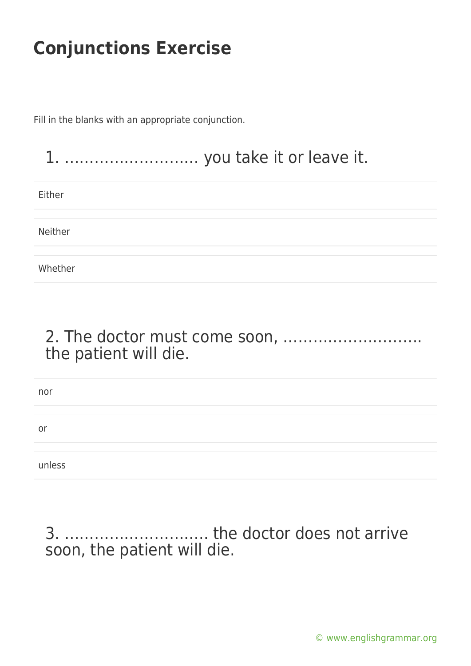Fill in the blanks with an appropriate conjunction.

### 1. ……………………… you take it or leave it.

Either

Neither

Whether

### 2. The doctor must come soon, ………………………. the patient will die.

| nor    |  |
|--------|--|
|        |  |
| or     |  |
|        |  |
| unless |  |

3. ……………………….. the doctor does not arrive soon, the patient will die.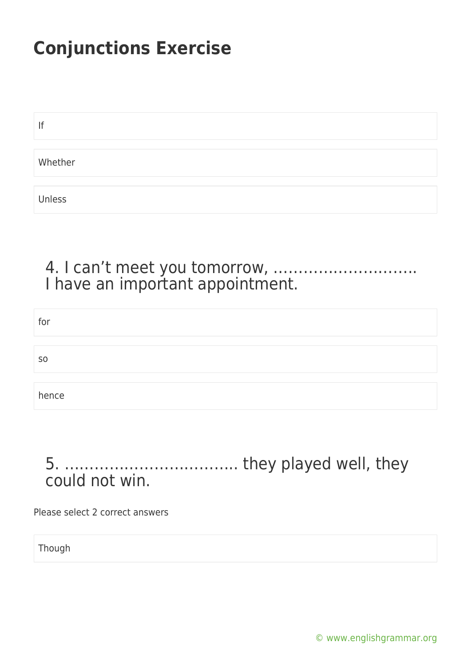| lf      |  |  |  |
|---------|--|--|--|
|         |  |  |  |
| Whether |  |  |  |
|         |  |  |  |
| Unless  |  |  |  |

#### 4. I can't meet you tomorrow, ……………………….. I have an important appointment.

| for           |  |
|---------------|--|
|               |  |
| <sub>SO</sub> |  |
|               |  |
| hence         |  |

### 5. …………………………….. they played well, they could not win.

Please select 2 correct answers

Though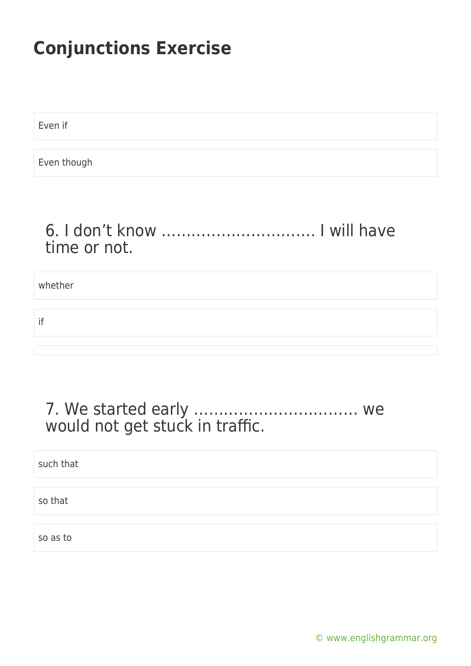Even if

Even though

#### 6. I don't know …………………………. I will have time or not.

whether

if

### 7. We started early …………………………… we would not get stuck in traffic.

| such that |  |
|-----------|--|
| so that   |  |
|           |  |

[© www.englishgrammar.org](https://www.englishgrammar.org/)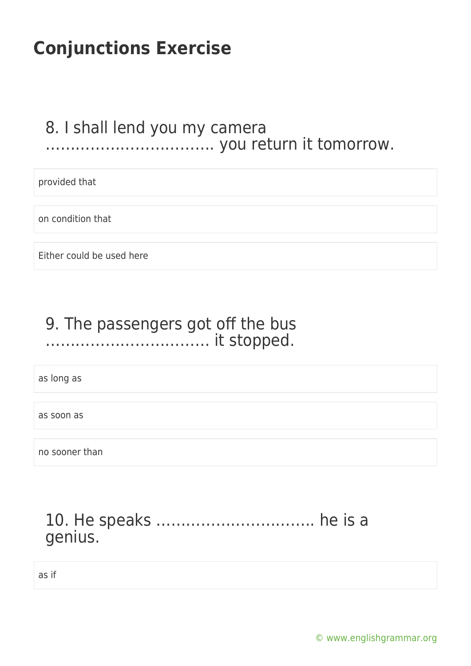#### 8. I shall lend you my camera ……………………………. you return it tomorrow.

provided that

on condition that

Either could be used here

### 9. The passengers got off the bus …………………………… it stopped.

as long as

as soon as

no sooner than

### 10. He speaks ………………………….. he is a genius.

as if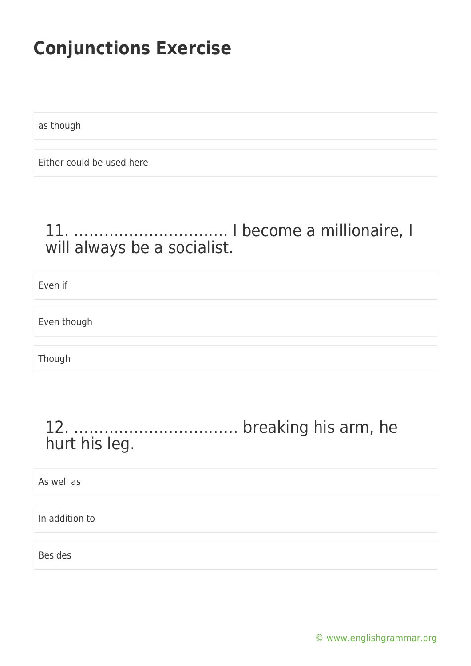as though

Either could be used here

### 11. …………………………. I become a millionaire, I will always be a socialist.

Even if

Even though

Though

### 12. …………………………… breaking his arm, he hurt his leg.

As well as

In addition to

Besides